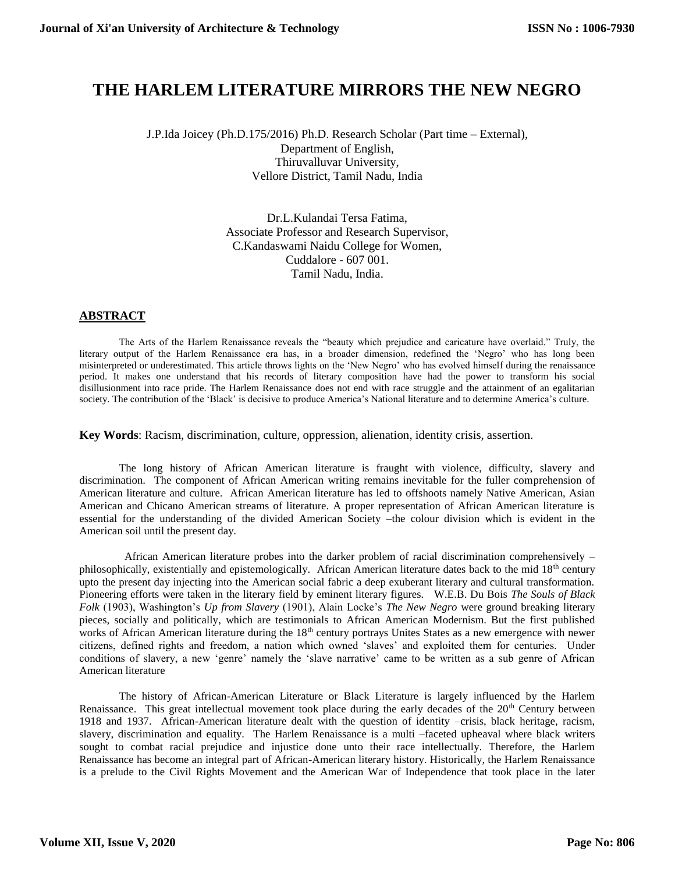## **THE HARLEM LITERATURE MIRRORS THE NEW NEGRO**

J.P.Ida Joicey (Ph.D.175/2016) Ph.D. Research Scholar (Part time – External), Department of English, Thiruvalluvar University, Vellore District, Tamil Nadu, India

> Dr.L.Kulandai Tersa Fatima, Associate Professor and Research Supervisor, C.Kandaswami Naidu College for Women, Cuddalore - 607 001. Tamil Nadu, India.

## **ABSTRACT**

The Arts of the Harlem Renaissance reveals the "beauty which prejudice and caricature have overlaid." Truly, the literary output of the Harlem Renaissance era has, in a broader dimension, redefined the 'Negro' who has long been misinterpreted or underestimated. This article throws lights on the 'New Negro' who has evolved himself during the renaissance period. It makes one understand that his records of literary composition have had the power to transform his social disillusionment into race pride. The Harlem Renaissance does not end with race struggle and the attainment of an egalitarian society. The contribution of the 'Black' is decisive to produce America's National literature and to determine America's culture.

**Key Words**: Racism, discrimination, culture, oppression, alienation, identity crisis, assertion.

The long history of African American literature is fraught with violence, difficulty, slavery and discrimination. The component of African American writing remains inevitable for the fuller comprehension of American literature and culture. African American literature has led to offshoots namely Native American, Asian American and Chicano American streams of literature. A proper representation of African American literature is essential for the understanding of the divided American Society –the colour division which is evident in the American soil until the present day.

 African American literature probes into the darker problem of racial discrimination comprehensively – philosophically, existentially and epistemologically. African American literature dates back to the mid 18<sup>th</sup> century upto the present day injecting into the American social fabric a deep exuberant literary and cultural transformation. Pioneering efforts were taken in the literary field by eminent literary figures. W.E.B. Du Bois *The Souls of Black Folk* (1903), Washington's *Up from Slavery* (1901), Alain Locke's *The New Negro* were ground breaking literary pieces, socially and politically, which are testimonials to African American Modernism. But the first published works of African American literature during the 18<sup>th</sup> century portrays Unites States as a new emergence with newer citizens, defined rights and freedom, a nation which owned 'slaves' and exploited them for centuries. Under conditions of slavery, a new 'genre' namely the 'slave narrative' came to be written as a sub genre of African American literature

The history of African-American Literature or Black Literature is largely influenced by the Harlem Renaissance. This great intellectual movement took place during the early decades of the 20<sup>th</sup> Century between 1918 and 1937. African-American literature dealt with the question of identity –crisis, black heritage, racism, slavery, discrimination and equality. The Harlem Renaissance is a multi –faceted upheaval where black writers sought to combat racial prejudice and injustice done unto their race intellectually. Therefore, the Harlem Renaissance has become an integral part of African-American literary history. Historically, the Harlem Renaissance is a prelude to the Civil Rights Movement and the American War of Independence that took place in the later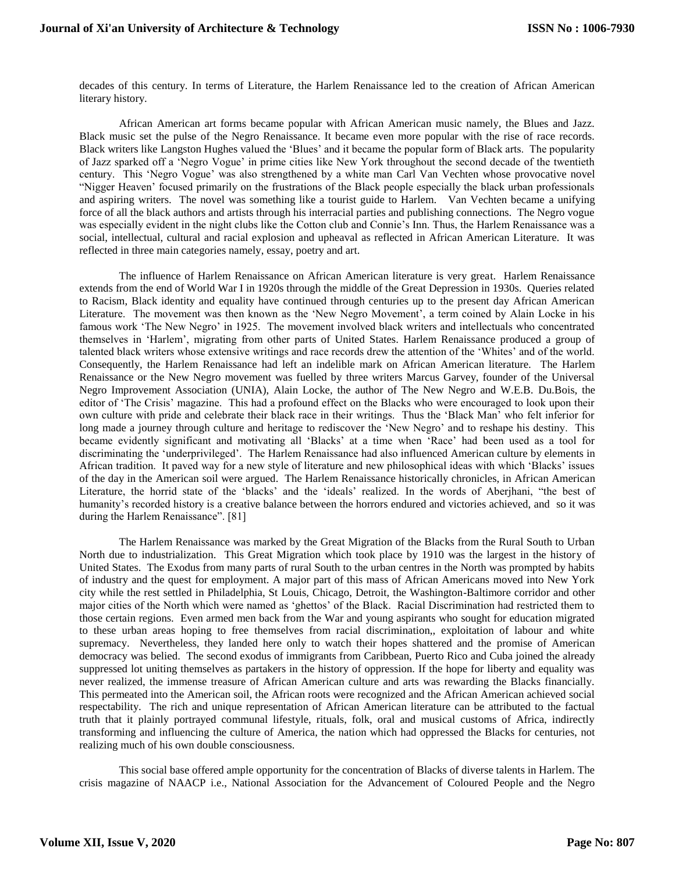decades of this century. In terms of Literature, the Harlem Renaissance led to the creation of African American literary history.

African American art forms became popular with African American music namely, the Blues and Jazz. Black music set the pulse of the Negro Renaissance. It became even more popular with the rise of race records. Black writers like Langston Hughes valued the 'Blues' and it became the popular form of Black arts. The popularity of Jazz sparked off a 'Negro Vogue' in prime cities like New York throughout the second decade of the twentieth century. This 'Negro Vogue' was also strengthened by a white man Carl Van Vechten whose provocative novel "Nigger Heaven' focused primarily on the frustrations of the Black people especially the black urban professionals and aspiring writers. The novel was something like a tourist guide to Harlem. Van Vechten became a unifying force of all the black authors and artists through his interracial parties and publishing connections. The Negro vogue was especially evident in the night clubs like the Cotton club and Connie's Inn. Thus, the Harlem Renaissance was a social, intellectual, cultural and racial explosion and upheaval as reflected in African American Literature. It was reflected in three main categories namely, essay, poetry and art.

The influence of Harlem Renaissance on African American literature is very great. Harlem Renaissance extends from the end of World War I in 1920s through the middle of the Great Depression in 1930s. Queries related to Racism, Black identity and equality have continued through centuries up to the present day African American Literature. The movement was then known as the 'New Negro Movement', a term coined by Alain Locke in his famous work 'The New Negro' in 1925. The movement involved black writers and intellectuals who concentrated themselves in 'Harlem', migrating from other parts of United States. Harlem Renaissance produced a group of talented black writers whose extensive writings and race records drew the attention of the 'Whites' and of the world. Consequently, the Harlem Renaissance had left an indelible mark on African American literature. The Harlem Renaissance or the New Negro movement was fuelled by three writers Marcus Garvey, founder of the Universal Negro Improvement Association (UNIA), Alain Locke, the author of The New Negro and W.E.B. Du.Bois, the editor of 'The Crisis' magazine. This had a profound effect on the Blacks who were encouraged to look upon their own culture with pride and celebrate their black race in their writings. Thus the 'Black Man' who felt inferior for long made a journey through culture and heritage to rediscover the 'New Negro' and to reshape his destiny. This became evidently significant and motivating all 'Blacks' at a time when 'Race' had been used as a tool for discriminating the 'underprivileged'. The Harlem Renaissance had also influenced American culture by elements in African tradition. It paved way for a new style of literature and new philosophical ideas with which 'Blacks' issues of the day in the American soil were argued. The Harlem Renaissance historically chronicles, in African American Literature, the horrid state of the 'blacks' and the 'ideals' realized. In the words of Aberjhani, "the best of humanity's recorded history is a creative balance between the horrors endured and victories achieved, and so it was during the Harlem Renaissance". [81]

The Harlem Renaissance was marked by the Great Migration of the Blacks from the Rural South to Urban North due to industrialization. This Great Migration which took place by 1910 was the largest in the history of United States. The Exodus from many parts of rural South to the urban centres in the North was prompted by habits of industry and the quest for employment. A major part of this mass of African Americans moved into New York city while the rest settled in Philadelphia, St Louis, Chicago, Detroit, the Washington-Baltimore corridor and other major cities of the North which were named as 'ghettos' of the Black. Racial Discrimination had restricted them to those certain regions. Even armed men back from the War and young aspirants who sought for education migrated to these urban areas hoping to free themselves from racial discrimination,, exploitation of labour and white supremacy. Nevertheless, they landed here only to watch their hopes shattered and the promise of American democracy was belied. The second exodus of immigrants from Caribbean, Puerto Rico and Cuba joined the already suppressed lot uniting themselves as partakers in the history of oppression. If the hope for liberty and equality was never realized, the immense treasure of African American culture and arts was rewarding the Blacks financially. This permeated into the American soil, the African roots were recognized and the African American achieved social respectability. The rich and unique representation of African American literature can be attributed to the factual truth that it plainly portrayed communal lifestyle, rituals, folk, oral and musical customs of Africa, indirectly transforming and influencing the culture of America, the nation which had oppressed the Blacks for centuries, not realizing much of his own double consciousness.

This social base offered ample opportunity for the concentration of Blacks of diverse talents in Harlem. The crisis magazine of NAACP i.e., National Association for the Advancement of Coloured People and the Negro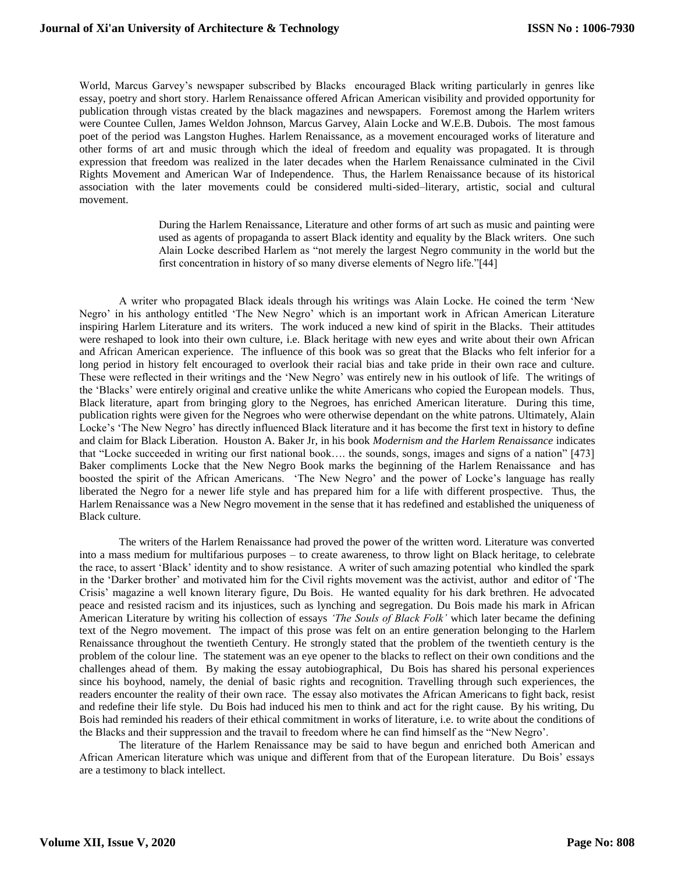World, Marcus Garvey's newspaper subscribed by Blacks encouraged Black writing particularly in genres like essay, poetry and short story. Harlem Renaissance offered African American visibility and provided opportunity for publication through vistas created by the black magazines and newspapers. Foremost among the Harlem writers were Countee Cullen, James Weldon Johnson, Marcus Garvey, Alain Locke and W.E.B. Dubois. The most famous poet of the period was Langston Hughes. Harlem Renaissance, as a movement encouraged works of literature and other forms of art and music through which the ideal of freedom and equality was propagated. It is through expression that freedom was realized in the later decades when the Harlem Renaissance culminated in the Civil Rights Movement and American War of Independence. Thus, the Harlem Renaissance because of its historical association with the later movements could be considered multi-sided–literary, artistic, social and cultural movement.

> During the Harlem Renaissance, Literature and other forms of art such as music and painting were used as agents of propaganda to assert Black identity and equality by the Black writers. One such Alain Locke described Harlem as "not merely the largest Negro community in the world but the first concentration in history of so many diverse elements of Negro life."[44]

A writer who propagated Black ideals through his writings was Alain Locke. He coined the term 'New Negro' in his anthology entitled 'The New Negro' which is an important work in African American Literature inspiring Harlem Literature and its writers. The work induced a new kind of spirit in the Blacks. Their attitudes were reshaped to look into their own culture, i.e. Black heritage with new eyes and write about their own African and African American experience. The influence of this book was so great that the Blacks who felt inferior for a long period in history felt encouraged to overlook their racial bias and take pride in their own race and culture. These were reflected in their writings and the 'New Negro' was entirely new in his outlook of life. The writings of the 'Blacks' were entirely original and creative unlike the white Americans who copied the European models. Thus, Black literature, apart from bringing glory to the Negroes, has enriched American literature. During this time, publication rights were given for the Negroes who were otherwise dependant on the white patrons. Ultimately, Alain Locke's 'The New Negro' has directly influenced Black literature and it has become the first text in history to define and claim for Black Liberation. Houston A. Baker Jr, in his book *Modernism and the Harlem Renaissance* indicates that "Locke succeeded in writing our first national book…. the sounds, songs, images and signs of a nation" [473] Baker compliments Locke that the New Negro Book marks the beginning of the Harlem Renaissance and has boosted the spirit of the African Americans. 'The New Negro' and the power of Locke's language has really liberated the Negro for a newer life style and has prepared him for a life with different prospective. Thus, the Harlem Renaissance was a New Negro movement in the sense that it has redefined and established the uniqueness of Black culture.

The writers of the Harlem Renaissance had proved the power of the written word. Literature was converted into a mass medium for multifarious purposes – to create awareness, to throw light on Black heritage, to celebrate the race, to assert 'Black' identity and to show resistance. A writer of such amazing potential who kindled the spark in the 'Darker brother' and motivated him for the Civil rights movement was the activist, author and editor of 'The Crisis' magazine a well known literary figure, Du Bois. He wanted equality for his dark brethren. He advocated peace and resisted racism and its injustices, such as lynching and segregation. Du Bois made his mark in African American Literature by writing his collection of essays *'The Souls of Black Folk'* which later became the defining text of the Negro movement. The impact of this prose was felt on an entire generation belonging to the Harlem Renaissance throughout the twentieth Century. He strongly stated that the problem of the twentieth century is the problem of the colour line. The statement was an eye opener to the blacks to reflect on their own conditions and the challenges ahead of them. By making the essay autobiographical, Du Bois has shared his personal experiences since his boyhood, namely, the denial of basic rights and recognition. Travelling through such experiences, the readers encounter the reality of their own race. The essay also motivates the African Americans to fight back, resist and redefine their life style. Du Bois had induced his men to think and act for the right cause. By his writing, Du Bois had reminded his readers of their ethical commitment in works of literature, i.e. to write about the conditions of the Blacks and their suppression and the travail to freedom where he can find himself as the "New Negro'.

The literature of the Harlem Renaissance may be said to have begun and enriched both American and African American literature which was unique and different from that of the European literature. Du Bois' essays are a testimony to black intellect.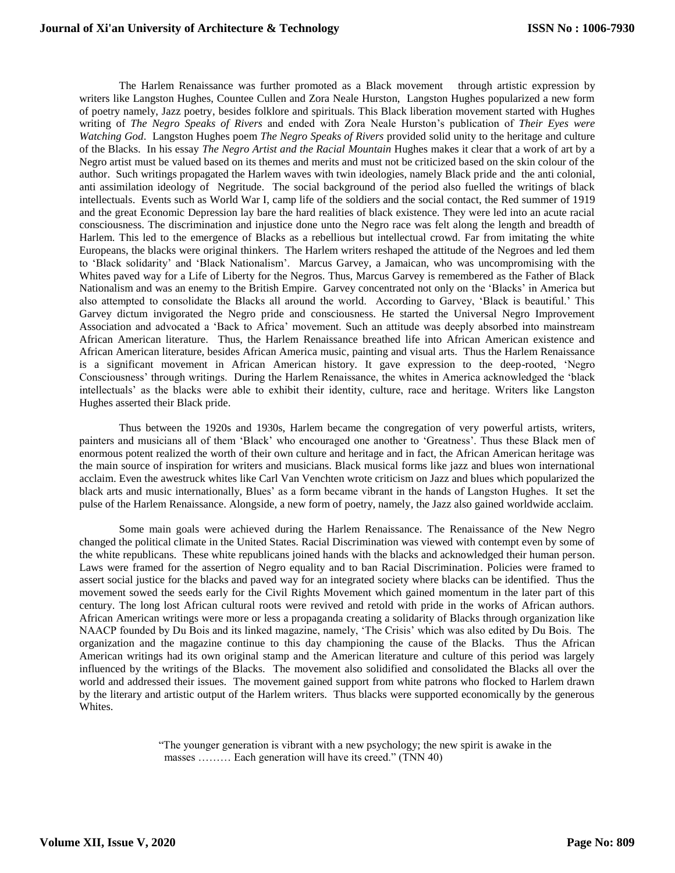The Harlem Renaissance was further promoted as a Black movement through artistic expression by writers like Langston Hughes, Countee Cullen and Zora Neale Hurston, Langston Hughes popularized a new form of poetry namely, Jazz poetry, besides folklore and spirituals. This Black liberation movement started with Hughes writing of *The Negro Speaks of Rivers* and ended with Zora Neale Hurston's publication of *Their Eyes were Watching God*. Langston Hughes poem *The Negro Speaks of Rivers* provided solid unity to the heritage and culture of the Blacks. In his essay *The Negro Artist and the Racial Mountain* Hughes makes it clear that a work of art by a Negro artist must be valued based on its themes and merits and must not be criticized based on the skin colour of the author. Such writings propagated the Harlem waves with twin ideologies, namely Black pride and the anti colonial, anti assimilation ideology of Negritude. The social background of the period also fuelled the writings of black intellectuals. Events such as World War I, camp life of the soldiers and the social contact, the Red summer of 1919 and the great Economic Depression lay bare the hard realities of black existence. They were led into an acute racial consciousness. The discrimination and injustice done unto the Negro race was felt along the length and breadth of Harlem. This led to the emergence of Blacks as a rebellious but intellectual crowd. Far from imitating the white Europeans, the blacks were original thinkers. The Harlem writers reshaped the attitude of the Negroes and led them to 'Black solidarity' and 'Black Nationalism'. Marcus Garvey, a Jamaican, who was uncompromising with the Whites paved way for a Life of Liberty for the Negros. Thus, Marcus Garvey is remembered as the Father of Black Nationalism and was an enemy to the British Empire. Garvey concentrated not only on the 'Blacks' in America but also attempted to consolidate the Blacks all around the world. According to Garvey, 'Black is beautiful.' This Garvey dictum invigorated the Negro pride and consciousness. He started the Universal Negro Improvement Association and advocated a 'Back to Africa' movement. Such an attitude was deeply absorbed into mainstream African American literature. Thus, the Harlem Renaissance breathed life into African American existence and African American literature, besides African America music, painting and visual arts. Thus the Harlem Renaissance is a significant movement in African American history. It gave expression to the deep-rooted, 'Negro Consciousness' through writings. During the Harlem Renaissance, the whites in America acknowledged the 'black intellectuals' as the blacks were able to exhibit their identity, culture, race and heritage. Writers like Langston Hughes asserted their Black pride.

Thus between the 1920s and 1930s, Harlem became the congregation of very powerful artists, writers, painters and musicians all of them 'Black' who encouraged one another to 'Greatness'. Thus these Black men of enormous potent realized the worth of their own culture and heritage and in fact, the African American heritage was the main source of inspiration for writers and musicians. Black musical forms like jazz and blues won international acclaim. Even the awestruck whites like Carl Van Venchten wrote criticism on Jazz and blues which popularized the black arts and music internationally, Blues' as a form became vibrant in the hands of Langston Hughes. It set the pulse of the Harlem Renaissance. Alongside, a new form of poetry, namely, the Jazz also gained worldwide acclaim.

 Some main goals were achieved during the Harlem Renaissance. The Renaissance of the New Negro changed the political climate in the United States. Racial Discrimination was viewed with contempt even by some of the white republicans. These white republicans joined hands with the blacks and acknowledged their human person. Laws were framed for the assertion of Negro equality and to ban Racial Discrimination. Policies were framed to assert social justice for the blacks and paved way for an integrated society where blacks can be identified. Thus the movement sowed the seeds early for the Civil Rights Movement which gained momentum in the later part of this century. The long lost African cultural roots were revived and retold with pride in the works of African authors. African American writings were more or less a propaganda creating a solidarity of Blacks through organization like NAACP founded by Du Bois and its linked magazine, namely, 'The Crisis' which was also edited by Du Bois. The organization and the magazine continue to this day championing the cause of the Blacks. Thus the African American writings had its own original stamp and the American literature and culture of this period was largely influenced by the writings of the Blacks. The movement also solidified and consolidated the Blacks all over the world and addressed their issues. The movement gained support from white patrons who flocked to Harlem drawn by the literary and artistic output of the Harlem writers. Thus blacks were supported economically by the generous Whites.

> "The younger generation is vibrant with a new psychology; the new spirit is awake in the masses ……… Each generation will have its creed." (TNN 40)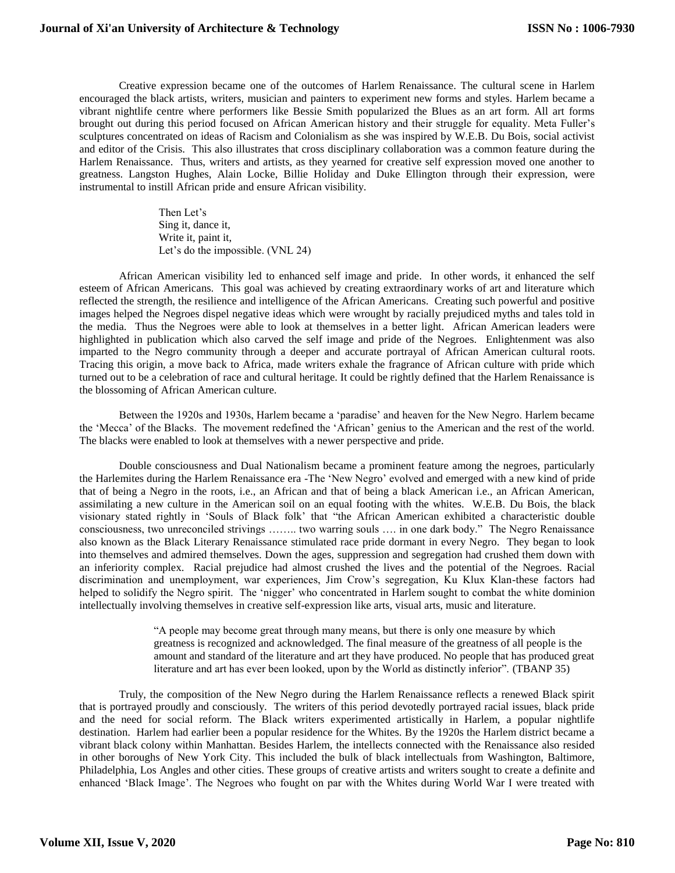Creative expression became one of the outcomes of Harlem Renaissance. The cultural scene in Harlem encouraged the black artists, writers, musician and painters to experiment new forms and styles. Harlem became a vibrant nightlife centre where performers like Bessie Smith popularized the Blues as an art form. All art forms brought out during this period focused on African American history and their struggle for equality. Meta Fuller's sculptures concentrated on ideas of Racism and Colonialism as she was inspired by W.E.B. Du Bois, social activist and editor of the Crisis. This also illustrates that cross disciplinary collaboration was a common feature during the Harlem Renaissance. Thus, writers and artists, as they yearned for creative self expression moved one another to greatness. Langston Hughes, Alain Locke, Billie Holiday and Duke Ellington through their expression, were instrumental to instill African pride and ensure African visibility.

> Then Let's Sing it, dance it, Write it, paint it, Let's do the impossible. (VNL 24)

African American visibility led to enhanced self image and pride. In other words, it enhanced the self esteem of African Americans. This goal was achieved by creating extraordinary works of art and literature which reflected the strength, the resilience and intelligence of the African Americans. Creating such powerful and positive images helped the Negroes dispel negative ideas which were wrought by racially prejudiced myths and tales told in the media. Thus the Negroes were able to look at themselves in a better light. African American leaders were highlighted in publication which also carved the self image and pride of the Negroes. Enlightenment was also imparted to the Negro community through a deeper and accurate portrayal of African American cultural roots. Tracing this origin, a move back to Africa, made writers exhale the fragrance of African culture with pride which turned out to be a celebration of race and cultural heritage. It could be rightly defined that the Harlem Renaissance is the blossoming of African American culture.

Between the 1920s and 1930s, Harlem became a 'paradise' and heaven for the New Negro. Harlem became the 'Mecca' of the Blacks. The movement redefined the 'African' genius to the American and the rest of the world. The blacks were enabled to look at themselves with a newer perspective and pride.

Double consciousness and Dual Nationalism became a prominent feature among the negroes, particularly the Harlemites during the Harlem Renaissance era -The 'New Negro' evolved and emerged with a new kind of pride that of being a Negro in the roots, i.e., an African and that of being a black American i.e., an African American, assimilating a new culture in the American soil on an equal footing with the whites. W.E.B. Du Bois, the black visionary stated rightly in 'Souls of Black folk' that "the African American exhibited a characteristic double consciousness, two unreconciled strivings …….. two warring souls …. in one dark body." The Negro Renaissance also known as the Black Literary Renaissance stimulated race pride dormant in every Negro. They began to look into themselves and admired themselves. Down the ages, suppression and segregation had crushed them down with an inferiority complex. Racial prejudice had almost crushed the lives and the potential of the Negroes. Racial discrimination and unemployment, war experiences, Jim Crow's segregation, Ku Klux Klan-these factors had helped to solidify the Negro spirit. The 'nigger' who concentrated in Harlem sought to combat the white dominion intellectually involving themselves in creative self-expression like arts, visual arts, music and literature.

> "A people may become great through many means, but there is only one measure by which greatness is recognized and acknowledged. The final measure of the greatness of all people is the amount and standard of the literature and art they have produced. No people that has produced great literature and art has ever been looked, upon by the World as distinctly inferior". (TBANP 35)

Truly, the composition of the New Negro during the Harlem Renaissance reflects a renewed Black spirit that is portrayed proudly and consciously. The writers of this period devotedly portrayed racial issues, black pride and the need for social reform. The Black writers experimented artistically in Harlem, a popular nightlife destination. Harlem had earlier been a popular residence for the Whites. By the 1920s the Harlem district became a vibrant black colony within Manhattan. Besides Harlem, the intellects connected with the Renaissance also resided in other boroughs of New York City. This included the bulk of black intellectuals from Washington, Baltimore, Philadelphia, Los Angles and other cities. These groups of creative artists and writers sought to create a definite and enhanced 'Black Image'. The Negroes who fought on par with the Whites during World War I were treated with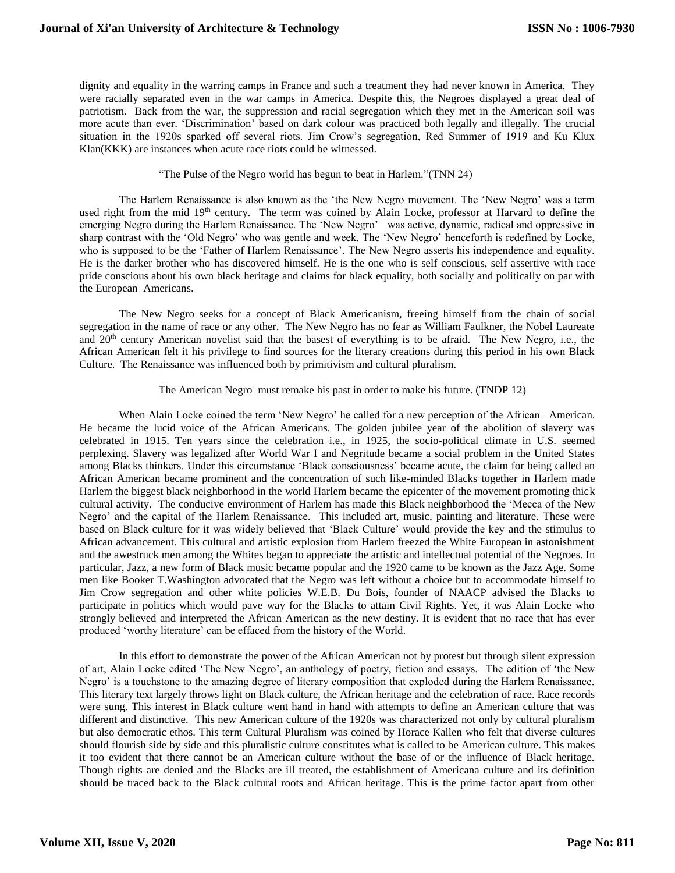dignity and equality in the warring camps in France and such a treatment they had never known in America. They were racially separated even in the war camps in America. Despite this, the Negroes displayed a great deal of patriotism. Back from the war, the suppression and racial segregation which they met in the American soil was more acute than ever. 'Discrimination' based on dark colour was practiced both legally and illegally. The crucial situation in the 1920s sparked off several riots. Jim Crow's segregation, Red Summer of 1919 and Ku Klux Klan(KKK) are instances when acute race riots could be witnessed.

"The Pulse of the Negro world has begun to beat in Harlem."(TNN 24)

The Harlem Renaissance is also known as the 'the New Negro movement. The 'New Negro' was a term used right from the mid 19<sup>th</sup> century. The term was coined by Alain Locke, professor at Harvard to define the emerging Negro during the Harlem Renaissance. The 'New Negro' was active, dynamic, radical and oppressive in sharp contrast with the 'Old Negro' who was gentle and week. The 'New Negro' henceforth is redefined by Locke, who is supposed to be the 'Father of Harlem Renaissance'. The New Negro asserts his independence and equality. He is the darker brother who has discovered himself. He is the one who is self conscious, self assertive with race pride conscious about his own black heritage and claims for black equality, both socially and politically on par with the European Americans.

The New Negro seeks for a concept of Black Americanism, freeing himself from the chain of social segregation in the name of race or any other. The New Negro has no fear as William Faulkner, the Nobel Laureate and 20<sup>th</sup> century American novelist said that the basest of everything is to be afraid. The New Negro, i.e., the African American felt it his privilege to find sources for the literary creations during this period in his own Black Culture. The Renaissance was influenced both by primitivism and cultural pluralism.

The American Negro must remake his past in order to make his future. (TNDP 12)

When Alain Locke coined the term 'New Negro' he called for a new perception of the African –American. He became the lucid voice of the African Americans. The golden jubilee year of the abolition of slavery was celebrated in 1915. Ten years since the celebration i.e., in 1925, the socio-political climate in U.S. seemed perplexing. Slavery was legalized after World War I and Negritude became a social problem in the United States among Blacks thinkers. Under this circumstance 'Black consciousness' became acute, the claim for being called an African American became prominent and the concentration of such like-minded Blacks together in Harlem made Harlem the biggest black neighborhood in the world Harlem became the epicenter of the movement promoting thick cultural activity. The conducive environment of Harlem has made this Black neighborhood the 'Mecca of the New Negro' and the capital of the Harlem Renaissance. This included art, music, painting and literature. These were based on Black culture for it was widely believed that 'Black Culture' would provide the key and the stimulus to African advancement. This cultural and artistic explosion from Harlem freezed the White European in astonishment and the awestruck men among the Whites began to appreciate the artistic and intellectual potential of the Negroes. In particular, Jazz, a new form of Black music became popular and the 1920 came to be known as the Jazz Age. Some men like Booker T.Washington advocated that the Negro was left without a choice but to accommodate himself to Jim Crow segregation and other white policies W.E.B. Du Bois, founder of NAACP advised the Blacks to participate in politics which would pave way for the Blacks to attain Civil Rights. Yet, it was Alain Locke who strongly believed and interpreted the African American as the new destiny. It is evident that no race that has ever produced 'worthy literature' can be effaced from the history of the World.

 In this effort to demonstrate the power of the African American not by protest but through silent expression of art, Alain Locke edited 'The New Negro', an anthology of poetry, fiction and essays. The edition of 'the New Negro' is a touchstone to the amazing degree of literary composition that exploded during the Harlem Renaissance. This literary text largely throws light on Black culture, the African heritage and the celebration of race. Race records were sung. This interest in Black culture went hand in hand with attempts to define an American culture that was different and distinctive. This new American culture of the 1920s was characterized not only by cultural pluralism but also democratic ethos. This term Cultural Pluralism was coined by Horace Kallen who felt that diverse cultures should flourish side by side and this pluralistic culture constitutes what is called to be American culture. This makes it too evident that there cannot be an American culture without the base of or the influence of Black heritage. Though rights are denied and the Blacks are ill treated, the establishment of Americana culture and its definition should be traced back to the Black cultural roots and African heritage. This is the prime factor apart from other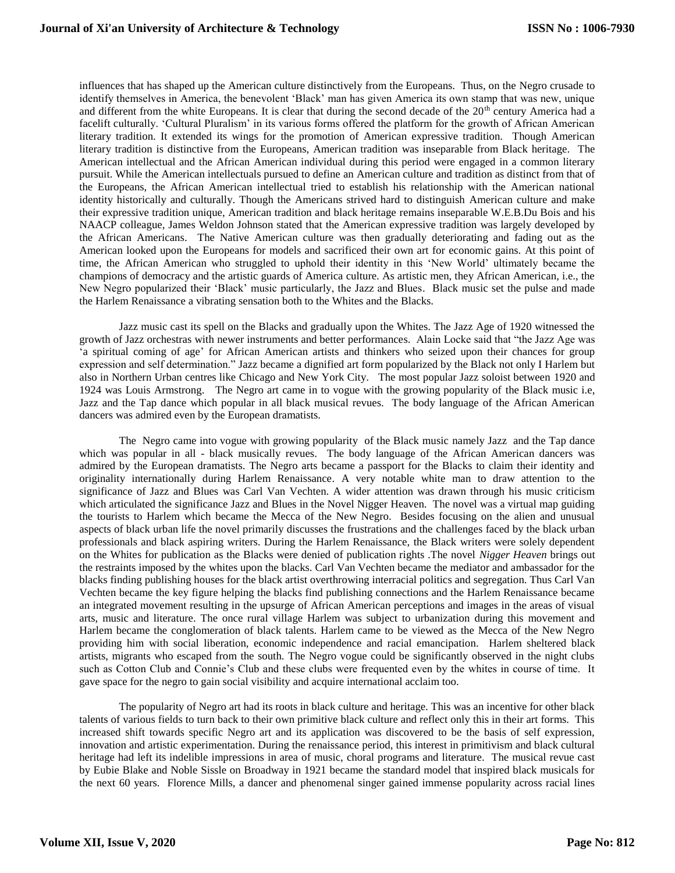influences that has shaped up the American culture distinctively from the Europeans. Thus, on the Negro crusade to identify themselves in America, the benevolent 'Black' man has given America its own stamp that was new, unique and different from the white Europeans. It is clear that during the second decade of the 20<sup>th</sup> century America had a facelift culturally. 'Cultural Pluralism' in its various forms offered the platform for the growth of African American literary tradition. It extended its wings for the promotion of American expressive tradition. Though American literary tradition is distinctive from the Europeans, American tradition was inseparable from Black heritage. The American intellectual and the African American individual during this period were engaged in a common literary pursuit. While the American intellectuals pursued to define an American culture and tradition as distinct from that of the Europeans, the African American intellectual tried to establish his relationship with the American national identity historically and culturally. Though the Americans strived hard to distinguish American culture and make their expressive tradition unique, American tradition and black heritage remains inseparable W.E.B.Du Bois and his NAACP colleague, James Weldon Johnson stated that the American expressive tradition was largely developed by the African Americans. The Native American culture was then gradually deteriorating and fading out as the American looked upon the Europeans for models and sacrificed their own art for economic gains. At this point of time, the African American who struggled to uphold their identity in this 'New World' ultimately became the champions of democracy and the artistic guards of America culture. As artistic men, they African American, i.e., the New Negro popularized their 'Black' music particularly, the Jazz and Blues. Black music set the pulse and made the Harlem Renaissance a vibrating sensation both to the Whites and the Blacks.

Jazz music cast its spell on the Blacks and gradually upon the Whites. The Jazz Age of 1920 witnessed the growth of Jazz orchestras with newer instruments and better performances. Alain Locke said that "the Jazz Age was 'a spiritual coming of age' for African American artists and thinkers who seized upon their chances for group expression and self determination." Jazz became a dignified art form popularized by the Black not only I Harlem but also in Northern Urban centres like Chicago and New York City. The most popular Jazz soloist between 1920 and 1924 was Louis Armstrong. The Negro art came in to vogue with the growing popularity of the Black music i.e, Jazz and the Tap dance which popular in all black musical revues. The body language of the African American dancers was admired even by the European dramatists.

The Negro came into vogue with growing popularity of the Black music namely Jazz and the Tap dance which was popular in all - black musically revues. The body language of the African American dancers was admired by the European dramatists. The Negro arts became a passport for the Blacks to claim their identity and originality internationally during Harlem Renaissance. A very notable white man to draw attention to the significance of Jazz and Blues was Carl Van Vechten. A wider attention was drawn through his music criticism which articulated the significance Jazz and Blues in the Novel Nigger Heaven. The novel was a virtual map guiding the tourists to Harlem which became the Mecca of the New Negro. Besides focusing on the alien and unusual aspects of black urban life the novel primarily discusses the frustrations and the challenges faced by the black urban professionals and black aspiring writers. During the Harlem Renaissance, the Black writers were solely dependent on the Whites for publication as the Blacks were denied of publication rights .The novel *Nigger Heaven* brings out the restraints imposed by the whites upon the blacks. Carl Van Vechten became the mediator and ambassador for the blacks finding publishing houses for the black artist overthrowing interracial politics and segregation. Thus Carl Van Vechten became the key figure helping the blacks find publishing connections and the Harlem Renaissance became an integrated movement resulting in the upsurge of African American perceptions and images in the areas of visual arts, music and literature. The once rural village Harlem was subject to urbanization during this movement and Harlem became the conglomeration of black talents. Harlem came to be viewed as the Mecca of the New Negro providing him with social liberation, economic independence and racial emancipation. Harlem sheltered black artists, migrants who escaped from the south. The Negro vogue could be significantly observed in the night clubs such as Cotton Club and Connie's Club and these clubs were frequented even by the whites in course of time. It gave space for the negro to gain social visibility and acquire international acclaim too.

 The popularity of Negro art had its roots in black culture and heritage. This was an incentive for other black talents of various fields to turn back to their own primitive black culture and reflect only this in their art forms. This increased shift towards specific Negro art and its application was discovered to be the basis of self expression, innovation and artistic experimentation. During the renaissance period, this interest in primitivism and black cultural heritage had left its indelible impressions in area of music, choral programs and literature. The musical revue cast by Eubie Blake and Noble Sissle on Broadway in 1921 became the standard model that inspired black musicals for the next 60 years. Florence Mills, a dancer and phenomenal singer gained immense popularity across racial lines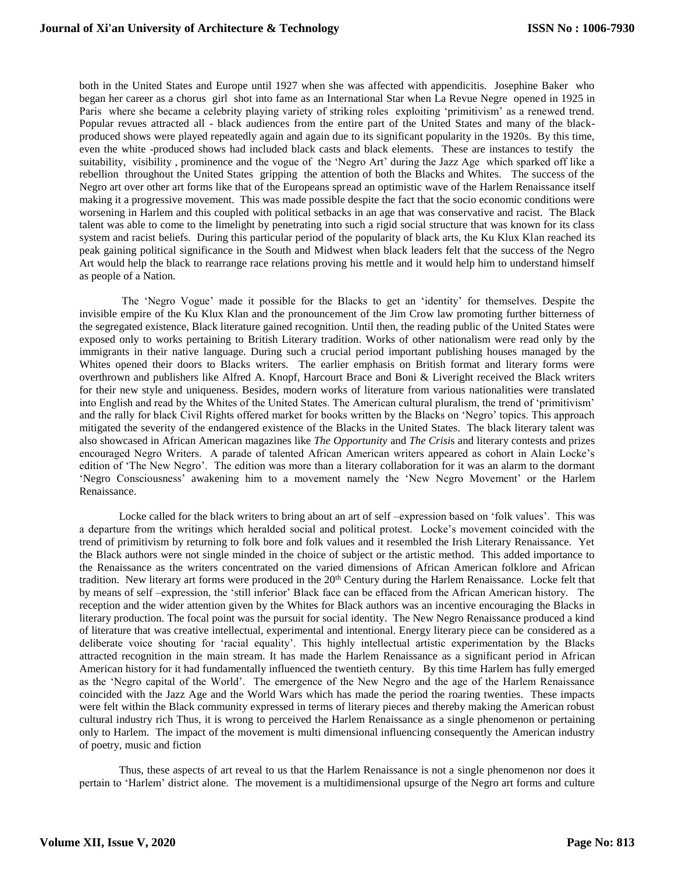both in the United States and Europe until 1927 when she was affected with appendicitis. Josephine Baker who began her career as a chorus girl shot into fame as an International Star when La Revue Negre opened in 1925 in Paris where she became a celebrity playing variety of striking roles exploiting 'primitivism' as a renewed trend. Popular revues attracted all - black audiences from the entire part of the United States and many of the blackproduced shows were played repeatedly again and again due to its significant popularity in the 1920s. By this time, even the white -produced shows had included black casts and black elements. These are instances to testify the suitability, visibility , prominence and the vogue of the 'Negro Art' during the Jazz Age which sparked off like a rebellion throughout the United States gripping the attention of both the Blacks and Whites. The success of the Negro art over other art forms like that of the Europeans spread an optimistic wave of the Harlem Renaissance itself making it a progressive movement. This was made possible despite the fact that the socio economic conditions were worsening in Harlem and this coupled with political setbacks in an age that was conservative and racist. The Black talent was able to come to the limelight by penetrating into such a rigid social structure that was known for its class system and racist beliefs. During this particular period of the popularity of black arts, the Ku Klux Klan reached its peak gaining political significance in the South and Midwest when black leaders felt that the success of the Negro Art would help the black to rearrange race relations proving his mettle and it would help him to understand himself as people of a Nation.

The 'Negro Vogue' made it possible for the Blacks to get an 'identity' for themselves. Despite the invisible empire of the Ku Klux Klan and the pronouncement of the Jim Crow law promoting further bitterness of the segregated existence, Black literature gained recognition. Until then, the reading public of the United States were exposed only to works pertaining to British Literary tradition. Works of other nationalism were read only by the immigrants in their native language. During such a crucial period important publishing houses managed by the Whites opened their doors to Blacks writers. The earlier emphasis on British format and literary forms were overthrown and publishers like Alfred A. Knopf, Harcourt Brace and Boni & Liveright received the Black writers for their new style and uniqueness. Besides, modern works of literature from various nationalities were translated into English and read by the Whites of the United States. The American cultural pluralism, the trend of 'primitivism' and the rally for black Civil Rights offered market for books written by the Blacks on 'Negro' topics. This approach mitigated the severity of the endangered existence of the Blacks in the United States. The black literary talent was also showcased in African American magazines like *The Opportunity* and *The Crisi*s and literary contests and prizes encouraged Negro Writers. A parade of talented African American writers appeared as cohort in Alain Locke's edition of 'The New Negro'. The edition was more than a literary collaboration for it was an alarm to the dormant 'Negro Consciousness' awakening him to a movement namely the 'New Negro Movement' or the Harlem Renaissance.

Locke called for the black writers to bring about an art of self –expression based on 'folk values'. This was a departure from the writings which heralded social and political protest. Locke's movement coincided with the trend of primitivism by returning to folk bore and folk values and it resembled the Irish Literary Renaissance. Yet the Black authors were not single minded in the choice of subject or the artistic method. This added importance to the Renaissance as the writers concentrated on the varied dimensions of African American folklore and African tradition. New literary art forms were produced in the 20<sup>th</sup> Century during the Harlem Renaissance. Locke felt that by means of self –expression, the 'still inferior' Black face can be effaced from the African American history. The reception and the wider attention given by the Whites for Black authors was an incentive encouraging the Blacks in literary production. The focal point was the pursuit for social identity. The New Negro Renaissance produced a kind of literature that was creative intellectual, experimental and intentional. Energy literary piece can be considered as a deliberate voice shouting for 'racial equality'. This highly intellectual artistic experimentation by the Blacks attracted recognition in the main stream. It has made the Harlem Renaissance as a significant period in African American history for it had fundamentally influenced the twentieth century. By this time Harlem has fully emerged as the 'Negro capital of the World'. The emergence of the New Negro and the age of the Harlem Renaissance coincided with the Jazz Age and the World Wars which has made the period the roaring twenties. These impacts were felt within the Black community expressed in terms of literary pieces and thereby making the American robust cultural industry rich Thus, it is wrong to perceived the Harlem Renaissance as a single phenomenon or pertaining only to Harlem. The impact of the movement is multi dimensional influencing consequently the American industry of poetry, music and fiction

Thus, these aspects of art reveal to us that the Harlem Renaissance is not a single phenomenon nor does it pertain to 'Harlem' district alone. The movement is a multidimensional upsurge of the Negro art forms and culture